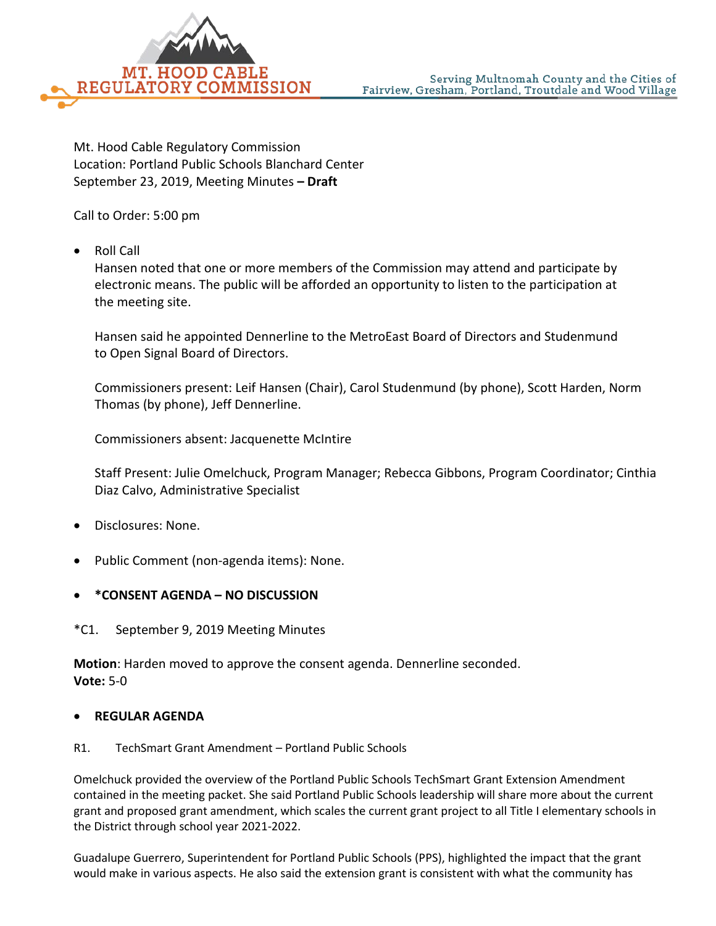

Mt. Hood Cable Regulatory Commission Location: Portland Public Schools Blanchard Center September 23, 2019, Meeting Minutes **– Draft**

Call to Order: 5:00 pm

• Roll Call

Hansen noted that one or more members of the Commission may attend and participate by electronic means. The public will be afforded an opportunity to listen to the participation at the meeting site.

Hansen said he appointed Dennerline to the MetroEast Board of Directors and Studenmund to Open Signal Board of Directors.

Commissioners present: Leif Hansen (Chair), Carol Studenmund (by phone), Scott Harden, Norm Thomas (by phone), Jeff Dennerline.

Commissioners absent: Jacquenette McIntire

Staff Present: Julie Omelchuck, Program Manager; Rebecca Gibbons, Program Coordinator; Cinthia Diaz Calvo, Administrative Specialist

- Disclosures: None.
- Public Comment (non-agenda items): None.
- **\*CONSENT AGENDA – NO DISCUSSION**
- \*C1. September 9, 2019 Meeting Minutes

**Motion**: Harden moved to approve the consent agenda. Dennerline seconded. **Vote:** 5-0

## • **REGULAR AGENDA**

R1. TechSmart Grant Amendment – Portland Public Schools

Omelchuck provided the overview of the Portland Public Schools TechSmart Grant Extension Amendment contained in the meeting packet. She said Portland Public Schools leadership will share more about the current grant and proposed grant amendment, which scales the current grant project to all Title I elementary schools in the District through school year 2021-2022.

Guadalupe Guerrero, Superintendent for Portland Public Schools (PPS), highlighted the impact that the grant would make in various aspects. He also said the extension grant is consistent with what the community has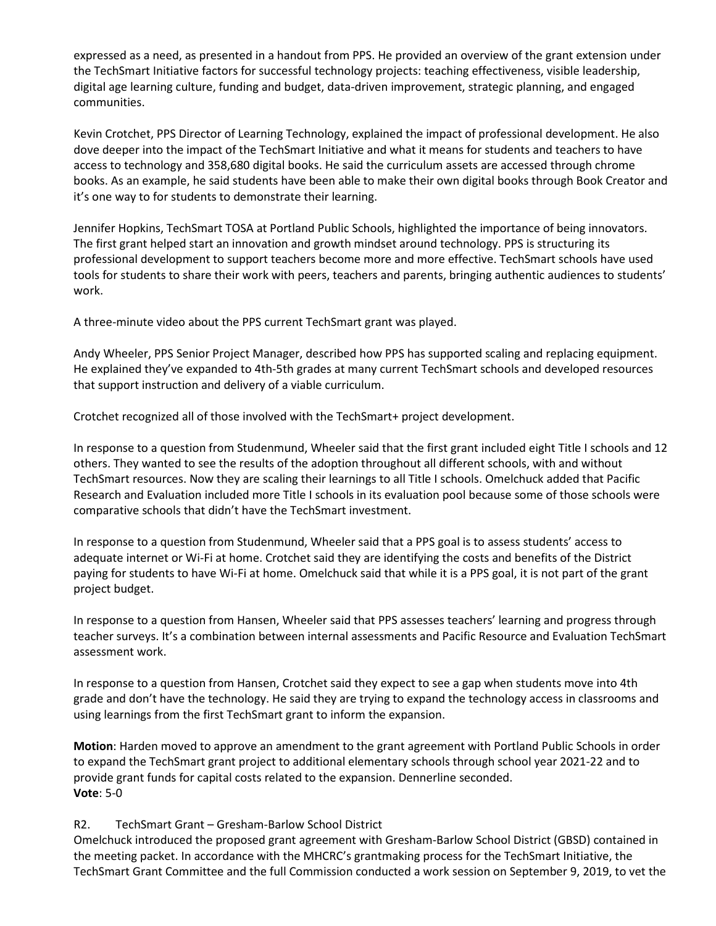expressed as a need, as presented in a handout from PPS. He provided an overview of the grant extension under the TechSmart Initiative factors for successful technology projects: teaching effectiveness, visible leadership, digital age learning culture, funding and budget, data-driven improvement, strategic planning, and engaged communities.

Kevin Crotchet, PPS Director of Learning Technology, explained the impact of professional development. He also dove deeper into the impact of the TechSmart Initiative and what it means for students and teachers to have access to technology and 358,680 digital books. He said the curriculum assets are accessed through chrome books. As an example, he said students have been able to make their own digital books through Book Creator and it's one way to for students to demonstrate their learning.

Jennifer Hopkins, TechSmart TOSA at Portland Public Schools, highlighted the importance of being innovators. The first grant helped start an innovation and growth mindset around technology. PPS is structuring its professional development to support teachers become more and more effective. TechSmart schools have used tools for students to share their work with peers, teachers and parents, bringing authentic audiences to students' work.

A three-minute video about the PPS current TechSmart grant was played.

Andy Wheeler, PPS Senior Project Manager, described how PPS has supported scaling and replacing equipment. He explained they've expanded to 4th-5th grades at many current TechSmart schools and developed resources that support instruction and delivery of a viable curriculum.

Crotchet recognized all of those involved with the TechSmart+ project development.

In response to a question from Studenmund, Wheeler said that the first grant included eight Title I schools and 12 others. They wanted to see the results of the adoption throughout all different schools, with and without TechSmart resources. Now they are scaling their learnings to all Title I schools. Omelchuck added that Pacific Research and Evaluation included more Title I schools in its evaluation pool because some of those schools were comparative schools that didn't have the TechSmart investment.

In response to a question from Studenmund, Wheeler said that a PPS goal is to assess students' access to adequate internet or Wi-Fi at home. Crotchet said they are identifying the costs and benefits of the District paying for students to have Wi-Fi at home. Omelchuck said that while it is a PPS goal, it is not part of the grant project budget.

In response to a question from Hansen, Wheeler said that PPS assesses teachers' learning and progress through teacher surveys. It's a combination between internal assessments and Pacific Resource and Evaluation TechSmart assessment work.

In response to a question from Hansen, Crotchet said they expect to see a gap when students move into 4th grade and don't have the technology. He said they are trying to expand the technology access in classrooms and using learnings from the first TechSmart grant to inform the expansion.

**Motion**: Harden moved to approve an amendment to the grant agreement with Portland Public Schools in order to expand the TechSmart grant project to additional elementary schools through school year 2021-22 and to provide grant funds for capital costs related to the expansion. Dennerline seconded. **Vote**: 5-0

## R2. TechSmart Grant – Gresham-Barlow School District

Omelchuck introduced the proposed grant agreement with Gresham-Barlow School District (GBSD) contained in the meeting packet. In accordance with the MHCRC's grantmaking process for the TechSmart Initiative, the TechSmart Grant Committee and the full Commission conducted a work session on September 9, 2019, to vet the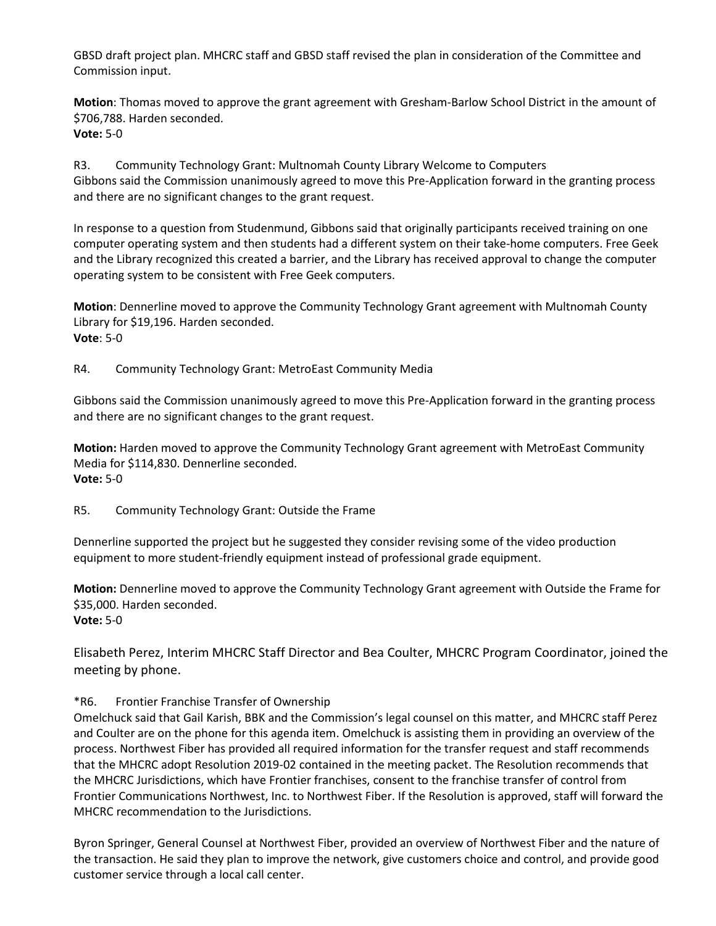GBSD draft project plan. MHCRC staff and GBSD staff revised the plan in consideration of the Committee and Commission input.

**Motion**: Thomas moved to approve the grant agreement with Gresham-Barlow School District in the amount of \$706,788. Harden seconded. **Vote:** 5-0

R3. Community Technology Grant: Multnomah County Library Welcome to Computers Gibbons said the Commission unanimously agreed to move this Pre-Application forward in the granting process and there are no significant changes to the grant request.

In response to a question from Studenmund, Gibbons said that originally participants received training on one computer operating system and then students had a different system on their take-home computers. Free Geek and the Library recognized this created a barrier, and the Library has received approval to change the computer operating system to be consistent with Free Geek computers.

**Motion**: Dennerline moved to approve the Community Technology Grant agreement with Multnomah County Library for \$19,196. Harden seconded. **Vote**: 5-0

R4. Community Technology Grant: MetroEast Community Media

Gibbons said the Commission unanimously agreed to move this Pre-Application forward in the granting process and there are no significant changes to the grant request.

**Motion:** Harden moved to approve the Community Technology Grant agreement with MetroEast Community Media for \$114,830. Dennerline seconded. **Vote:** 5-0

R5. Community Technology Grant: Outside the Frame

Dennerline supported the project but he suggested they consider revising some of the video production equipment to more student-friendly equipment instead of professional grade equipment.

**Motion:** Dennerline moved to approve the Community Technology Grant agreement with Outside the Frame for \$35,000. Harden seconded. **Vote:** 5-0

Elisabeth Perez, Interim MHCRC Staff Director and Bea Coulter, MHCRC Program Coordinator, joined the meeting by phone.

## \*R6. Frontier Franchise Transfer of Ownership

Omelchuck said that Gail Karish, BBK and the Commission's legal counsel on this matter, and MHCRC staff Perez and Coulter are on the phone for this agenda item. Omelchuck is assisting them in providing an overview of the process. Northwest Fiber has provided all required information for the transfer request and staff recommends that the MHCRC adopt Resolution 2019-02 contained in the meeting packet. The Resolution recommends that the MHCRC Jurisdictions, which have Frontier franchises, consent to the franchise transfer of control from Frontier Communications Northwest, Inc. to Northwest Fiber. If the Resolution is approved, staff will forward the MHCRC recommendation to the Jurisdictions.

Byron Springer, General Counsel at Northwest Fiber, provided an overview of Northwest Fiber and the nature of the transaction. He said they plan to improve the network, give customers choice and control, and provide good customer service through a local call center.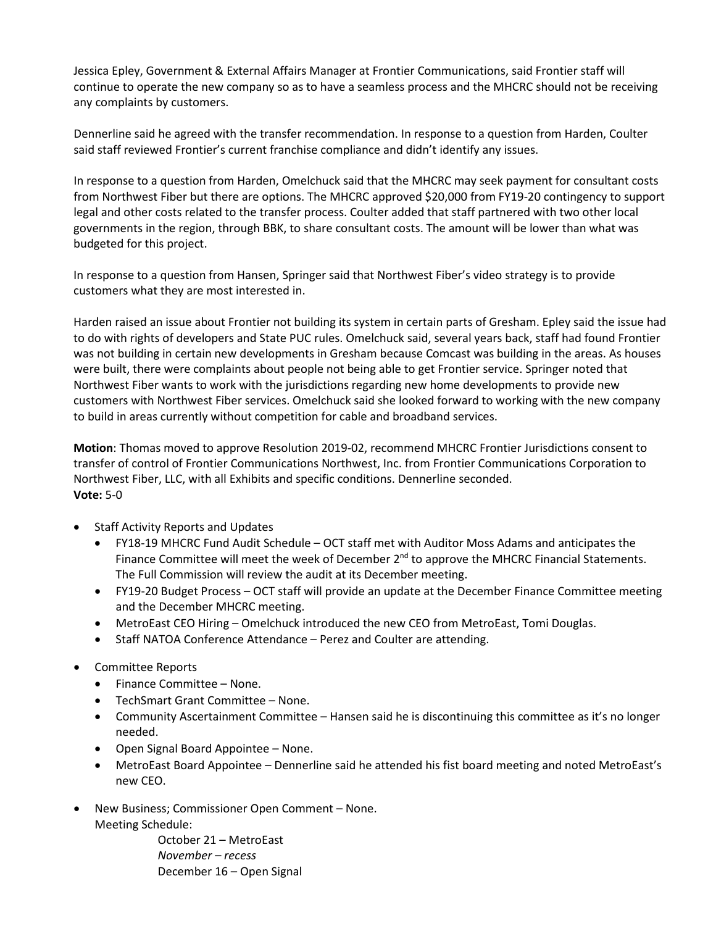Jessica Epley, Government & External Affairs Manager at Frontier Communications, said Frontier staff will continue to operate the new company so as to have a seamless process and the MHCRC should not be receiving any complaints by customers.

Dennerline said he agreed with the transfer recommendation. In response to a question from Harden, Coulter said staff reviewed Frontier's current franchise compliance and didn't identify any issues.

In response to a question from Harden, Omelchuck said that the MHCRC may seek payment for consultant costs from Northwest Fiber but there are options. The MHCRC approved \$20,000 from FY19-20 contingency to support legal and other costs related to the transfer process. Coulter added that staff partnered with two other local governments in the region, through BBK, to share consultant costs. The amount will be lower than what was budgeted for this project.

In response to a question from Hansen, Springer said that Northwest Fiber's video strategy is to provide customers what they are most interested in.

Harden raised an issue about Frontier not building its system in certain parts of Gresham. Epley said the issue had to do with rights of developers and State PUC rules. Omelchuck said, several years back, staff had found Frontier was not building in certain new developments in Gresham because Comcast was building in the areas. As houses were built, there were complaints about people not being able to get Frontier service. Springer noted that Northwest Fiber wants to work with the jurisdictions regarding new home developments to provide new customers with Northwest Fiber services. Omelchuck said she looked forward to working with the new company to build in areas currently without competition for cable and broadband services.

**Motion**: Thomas moved to approve Resolution 2019-02, recommend MHCRC Frontier Jurisdictions consent to transfer of control of Frontier Communications Northwest, Inc. from Frontier Communications Corporation to Northwest Fiber, LLC, with all Exhibits and specific conditions. Dennerline seconded. **Vote:** 5-0

- Staff Activity Reports and Updates
	- FY18-19 MHCRC Fund Audit Schedule OCT staff met with Auditor Moss Adams and anticipates the Finance Committee will meet the week of December  $2^{nd}$  to approve the MHCRC Financial Statements. The Full Commission will review the audit at its December meeting.
	- FY19-20 Budget Process OCT staff will provide an update at the December Finance Committee meeting and the December MHCRC meeting.
	- MetroEast CEO Hiring Omelchuck introduced the new CEO from MetroEast, Tomi Douglas.
	- Staff NATOA Conference Attendance Perez and Coulter are attending.
- Committee Reports
	- Finance Committee None.
	- TechSmart Grant Committee None.
	- Community Ascertainment Committee Hansen said he is discontinuing this committee as it's no longer needed.
	- Open Signal Board Appointee None.
	- MetroEast Board Appointee Dennerline said he attended his fist board meeting and noted MetroEast's new CEO.
- New Business; Commissioner Open Comment None. Meeting Schedule:

October 21 – MetroEast *November – recess* December 16 – Open Signal